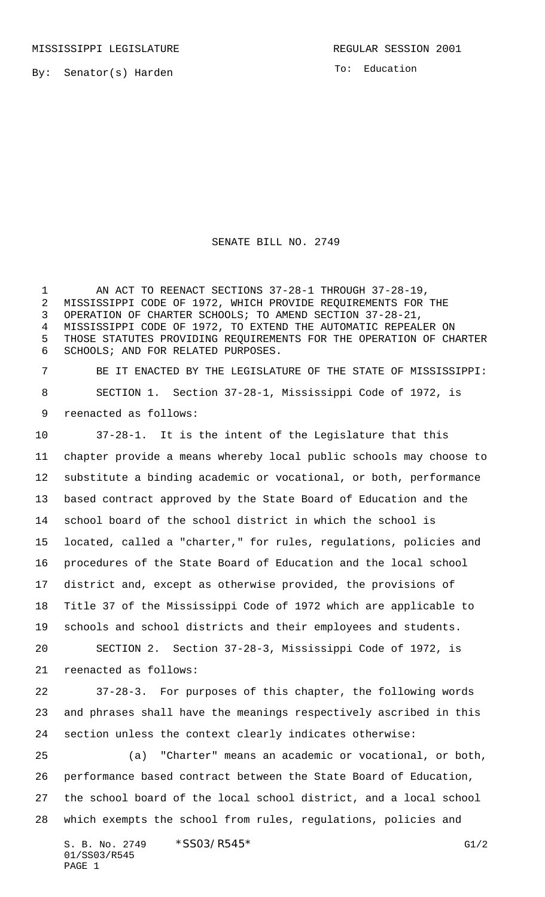By: Senator(s) Harden

To: Education

SENATE BILL NO. 2749

1 AN ACT TO REENACT SECTIONS 37-28-1 THROUGH 37-28-19, MISSISSIPPI CODE OF 1972, WHICH PROVIDE REQUIREMENTS FOR THE OPERATION OF CHARTER SCHOOLS; TO AMEND SECTION 37-28-21, MISSISSIPPI CODE OF 1972, TO EXTEND THE AUTOMATIC REPEALER ON THOSE STATUTES PROVIDING REQUIREMENTS FOR THE OPERATION OF CHARTER SCHOOLS; AND FOR RELATED PURPOSES.

 BE IT ENACTED BY THE LEGISLATURE OF THE STATE OF MISSISSIPPI: SECTION 1. Section 37-28-1, Mississippi Code of 1972, is reenacted as follows:

 37-28-1. It is the intent of the Legislature that this chapter provide a means whereby local public schools may choose to substitute a binding academic or vocational, or both, performance based contract approved by the State Board of Education and the school board of the school district in which the school is located, called a "charter," for rules, regulations, policies and procedures of the State Board of Education and the local school district and, except as otherwise provided, the provisions of Title 37 of the Mississippi Code of 1972 which are applicable to schools and school districts and their employees and students. SECTION 2. Section 37-28-3, Mississippi Code of 1972, is

reenacted as follows:

 37-28-3. For purposes of this chapter, the following words and phrases shall have the meanings respectively ascribed in this section unless the context clearly indicates otherwise:

 (a) "Charter" means an academic or vocational, or both, performance based contract between the State Board of Education, the school board of the local school district, and a local school which exempts the school from rules, regulations, policies and

S. B. No. 2749 \* SSO3/R545\* G1/2 01/SS03/R545 PAGE 1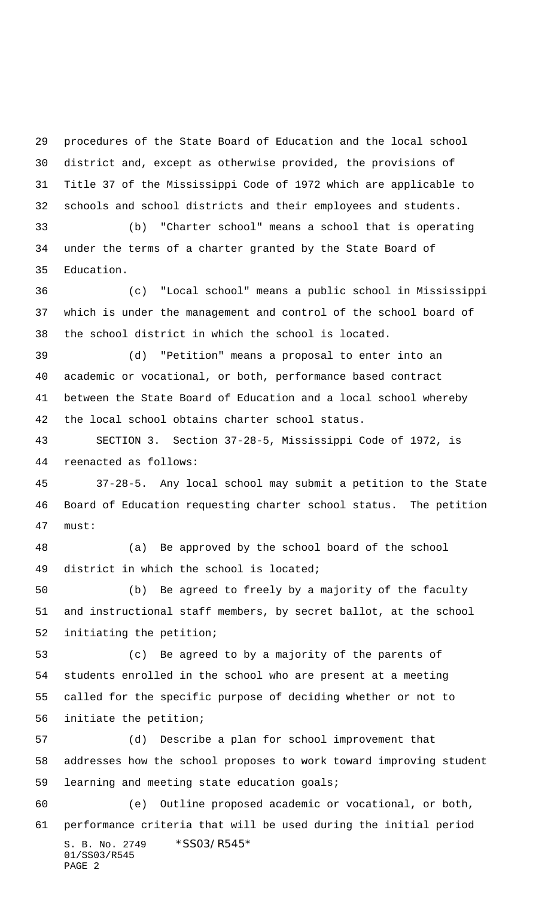procedures of the State Board of Education and the local school district and, except as otherwise provided, the provisions of Title 37 of the Mississippi Code of 1972 which are applicable to schools and school districts and their employees and students.

 (b) "Charter school" means a school that is operating under the terms of a charter granted by the State Board of Education.

 (c) "Local school" means a public school in Mississippi which is under the management and control of the school board of the school district in which the school is located.

 (d) "Petition" means a proposal to enter into an academic or vocational, or both, performance based contract between the State Board of Education and a local school whereby the local school obtains charter school status.

 SECTION 3. Section 37-28-5, Mississippi Code of 1972, is reenacted as follows:

 37-28-5. Any local school may submit a petition to the State Board of Education requesting charter school status. The petition must:

 (a) Be approved by the school board of the school district in which the school is located;

 (b) Be agreed to freely by a majority of the faculty and instructional staff members, by secret ballot, at the school initiating the petition;

 (c) Be agreed to by a majority of the parents of students enrolled in the school who are present at a meeting called for the specific purpose of deciding whether or not to initiate the petition;

 (d) Describe a plan for school improvement that addresses how the school proposes to work toward improving student learning and meeting state education goals;

S. B. No. 2749 \*SS03/R545\* 01/SS03/R545 PAGE 2 (e) Outline proposed academic or vocational, or both, performance criteria that will be used during the initial period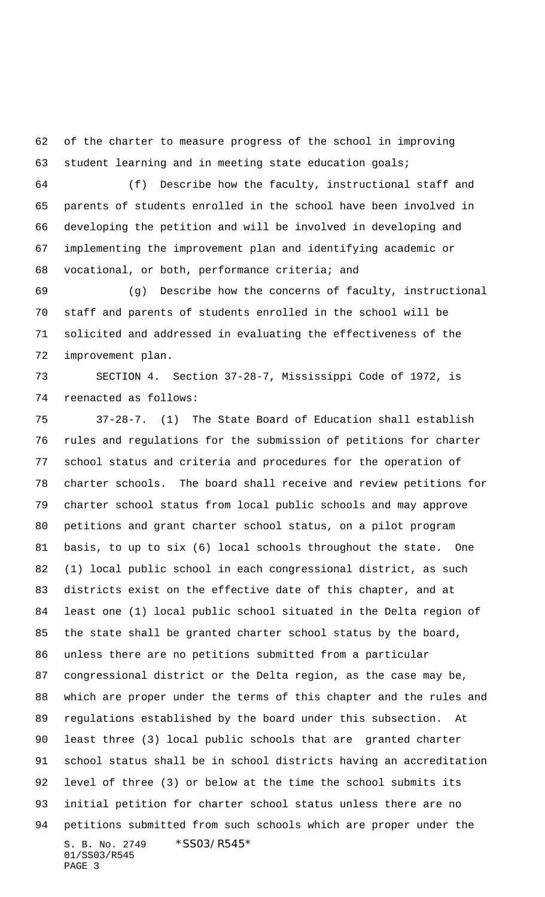of the charter to measure progress of the school in improving student learning and in meeting state education goals;

 (f) Describe how the faculty, instructional staff and parents of students enrolled in the school have been involved in developing the petition and will be involved in developing and implementing the improvement plan and identifying academic or vocational, or both, performance criteria; and

 (g) Describe how the concerns of faculty, instructional staff and parents of students enrolled in the school will be solicited and addressed in evaluating the effectiveness of the improvement plan.

 SECTION 4. Section 37-28-7, Mississippi Code of 1972, is reenacted as follows:

S. B. No. 2749 \* SS03/R545\* 01/SS03/R545 PAGE 3 37-28-7. (1) The State Board of Education shall establish rules and regulations for the submission of petitions for charter school status and criteria and procedures for the operation of charter schools. The board shall receive and review petitions for charter school status from local public schools and may approve petitions and grant charter school status, on a pilot program basis, to up to six (6) local schools throughout the state. One (1) local public school in each congressional district, as such districts exist on the effective date of this chapter, and at least one (1) local public school situated in the Delta region of the state shall be granted charter school status by the board, unless there are no petitions submitted from a particular congressional district or the Delta region, as the case may be, which are proper under the terms of this chapter and the rules and regulations established by the board under this subsection. At least three (3) local public schools that are granted charter school status shall be in school districts having an accreditation level of three (3) or below at the time the school submits its initial petition for charter school status unless there are no petitions submitted from such schools which are proper under the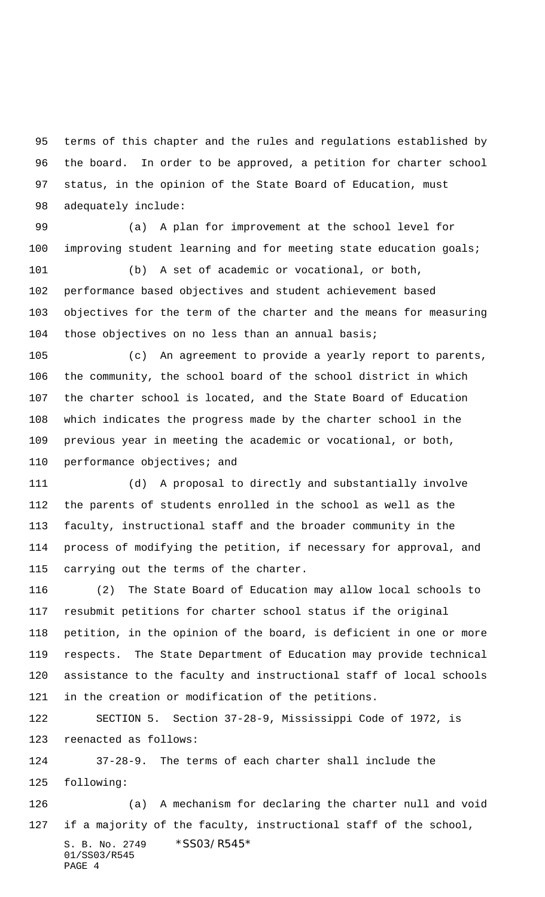terms of this chapter and the rules and regulations established by the board. In order to be approved, a petition for charter school status, in the opinion of the State Board of Education, must adequately include:

 (a) A plan for improvement at the school level for improving student learning and for meeting state education goals;

 (b) A set of academic or vocational, or both, performance based objectives and student achievement based objectives for the term of the charter and the means for measuring those objectives on no less than an annual basis;

 (c) An agreement to provide a yearly report to parents, the community, the school board of the school district in which the charter school is located, and the State Board of Education which indicates the progress made by the charter school in the previous year in meeting the academic or vocational, or both, performance objectives; and

 (d) A proposal to directly and substantially involve the parents of students enrolled in the school as well as the faculty, instructional staff and the broader community in the process of modifying the petition, if necessary for approval, and carrying out the terms of the charter.

 (2) The State Board of Education may allow local schools to resubmit petitions for charter school status if the original petition, in the opinion of the board, is deficient in one or more respects. The State Department of Education may provide technical assistance to the faculty and instructional staff of local schools in the creation or modification of the petitions.

 SECTION 5. Section 37-28-9, Mississippi Code of 1972, is reenacted as follows:

 37-28-9. The terms of each charter shall include the following:

S. B. No. 2749 \*SS03/R545\* 01/SS03/R545 PAGE 4 (a) A mechanism for declaring the charter null and void if a majority of the faculty, instructional staff of the school,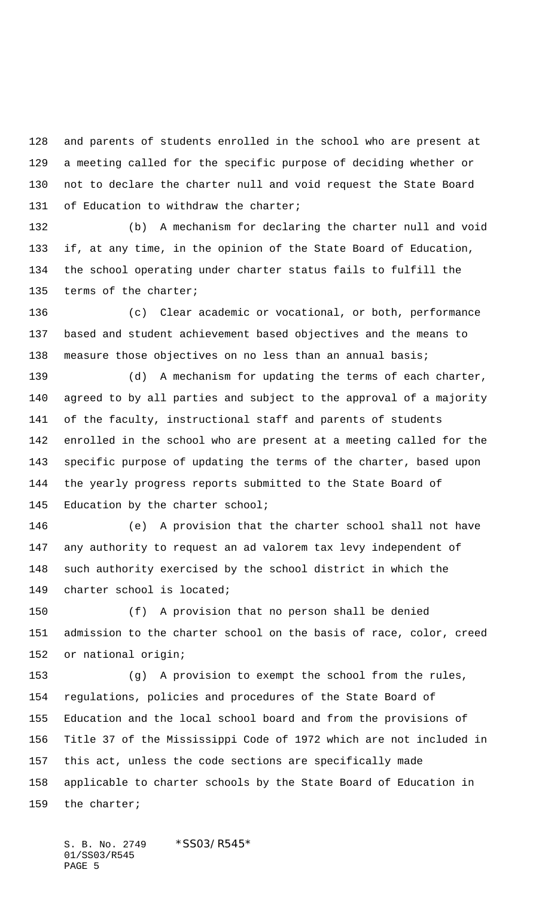and parents of students enrolled in the school who are present at a meeting called for the specific purpose of deciding whether or not to declare the charter null and void request the State Board 131 of Education to withdraw the charter;

 (b) A mechanism for declaring the charter null and void if, at any time, in the opinion of the State Board of Education, the school operating under charter status fails to fulfill the terms of the charter;

 (c) Clear academic or vocational, or both, performance based and student achievement based objectives and the means to 138 measure those objectives on no less than an annual basis;

 (d) A mechanism for updating the terms of each charter, agreed to by all parties and subject to the approval of a majority of the faculty, instructional staff and parents of students enrolled in the school who are present at a meeting called for the specific purpose of updating the terms of the charter, based upon the yearly progress reports submitted to the State Board of 145 Education by the charter school;

 (e) A provision that the charter school shall not have any authority to request an ad valorem tax levy independent of such authority exercised by the school district in which the charter school is located;

 (f) A provision that no person shall be denied admission to the charter school on the basis of race, color, creed or national origin;

 (g) A provision to exempt the school from the rules, regulations, policies and procedures of the State Board of Education and the local school board and from the provisions of Title 37 of the Mississippi Code of 1972 which are not included in this act, unless the code sections are specifically made applicable to charter schools by the State Board of Education in the charter;

S. B. No. 2749 \* SS03/R545\* 01/SS03/R545 PAGE 5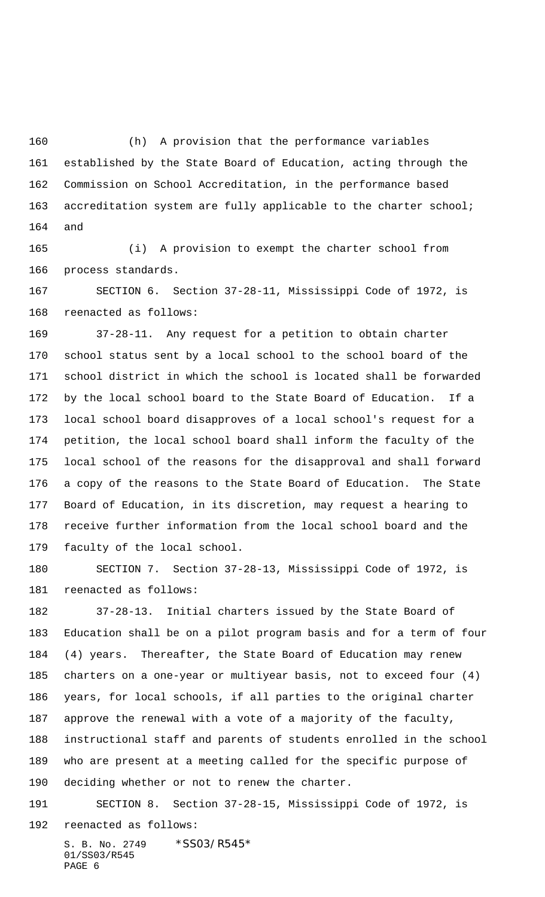(h) A provision that the performance variables established by the State Board of Education, acting through the Commission on School Accreditation, in the performance based 163 accreditation system are fully applicable to the charter school; and

 (i) A provision to exempt the charter school from process standards.

 SECTION 6. Section 37-28-11, Mississippi Code of 1972, is reenacted as follows:

 37-28-11. Any request for a petition to obtain charter school status sent by a local school to the school board of the school district in which the school is located shall be forwarded by the local school board to the State Board of Education. If a local school board disapproves of a local school's request for a petition, the local school board shall inform the faculty of the local school of the reasons for the disapproval and shall forward a copy of the reasons to the State Board of Education. The State Board of Education, in its discretion, may request a hearing to receive further information from the local school board and the faculty of the local school.

 SECTION 7. Section 37-28-13, Mississippi Code of 1972, is reenacted as follows:

 37-28-13. Initial charters issued by the State Board of Education shall be on a pilot program basis and for a term of four (4) years. Thereafter, the State Board of Education may renew charters on a one-year or multiyear basis, not to exceed four (4) years, for local schools, if all parties to the original charter approve the renewal with a vote of a majority of the faculty, instructional staff and parents of students enrolled in the school who are present at a meeting called for the specific purpose of deciding whether or not to renew the charter.

 SECTION 8. Section 37-28-15, Mississippi Code of 1972, is reenacted as follows:

S. B. No. 2749 \* SS03/R545\* 01/SS03/R545 PAGE 6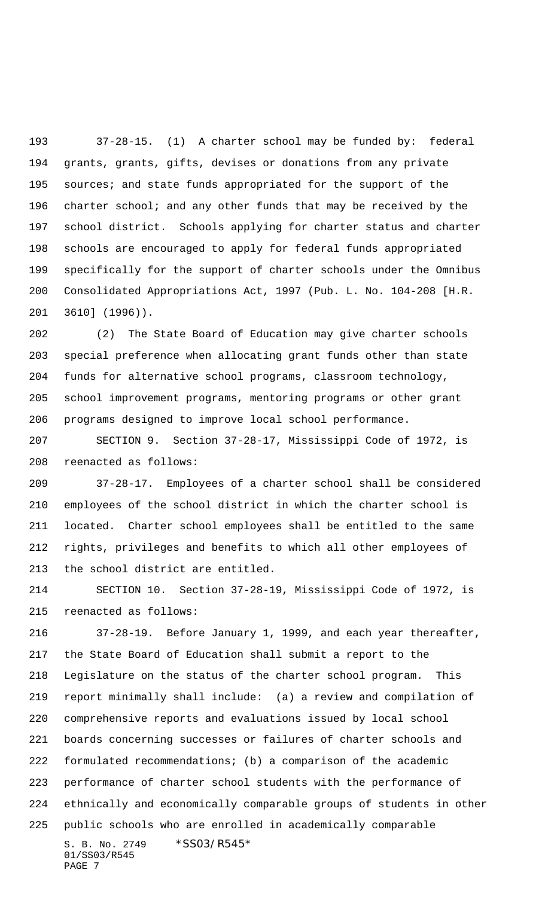37-28-15. (1) A charter school may be funded by: federal grants, grants, gifts, devises or donations from any private sources; and state funds appropriated for the support of the charter school; and any other funds that may be received by the school district. Schools applying for charter status and charter schools are encouraged to apply for federal funds appropriated specifically for the support of charter schools under the Omnibus Consolidated Appropriations Act, 1997 (Pub. L. No. 104-208 [H.R. 3610] (1996)).

 (2) The State Board of Education may give charter schools special preference when allocating grant funds other than state funds for alternative school programs, classroom technology, school improvement programs, mentoring programs or other grant programs designed to improve local school performance.

 SECTION 9. Section 37-28-17, Mississippi Code of 1972, is reenacted as follows:

 37-28-17. Employees of a charter school shall be considered employees of the school district in which the charter school is located. Charter school employees shall be entitled to the same rights, privileges and benefits to which all other employees of the school district are entitled.

 SECTION 10. Section 37-28-19, Mississippi Code of 1972, is reenacted as follows:

S. B. No. 2749 \* SS03/R545\* 01/SS03/R545 PAGE 7 37-28-19. Before January 1, 1999, and each year thereafter, the State Board of Education shall submit a report to the Legislature on the status of the charter school program. This report minimally shall include: (a) a review and compilation of comprehensive reports and evaluations issued by local school boards concerning successes or failures of charter schools and formulated recommendations; (b) a comparison of the academic performance of charter school students with the performance of ethnically and economically comparable groups of students in other public schools who are enrolled in academically comparable